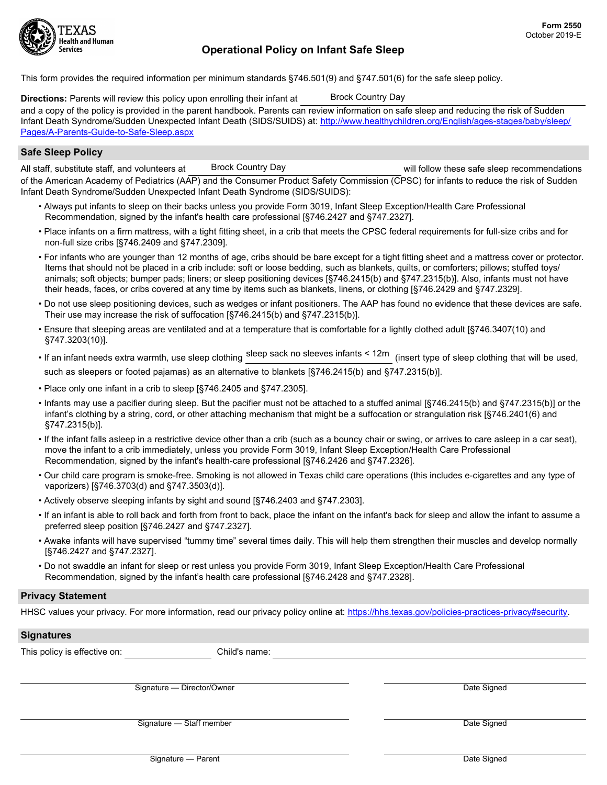

# Operational Policy on Infant Safe Sleep

This form provides the required information per minimum standards §746.501(9) and §747.501(6) for the safe sleep policy.

Directions: Parents will review this policy upon enrolling their infant at and a copy of the policy is provided in the parent handbook. Parents can review information on safe sleep and reducing the risk of Sudden Infant Death Syndrome/Sudden Unexpected Infant Death (SIDS/SUIDS) at: http://www.healthychildren.org/English/ages-stages/baby/sleep/ Pages/A-Parents-Guide-to-Safe-Sleep.aspx Brock Country Day

## Safe Sleep Policy

All staff, substitute staff, and volunteers at will blow these safe sleep recommendations of the American Academy of Pediatrics (AAP) and the Consumer Product Safety Commission (CPSC) for infants to reduce the risk of Sudden Infant Death Syndrome/Sudden Unexpected Infant Death Syndrome (SIDS/SUIDS): Brock Country Day

- Always put infants to sleep on their backs unless you provide Form 3019, Infant Sleep Exception/Health Care Professional Recommendation, signed by the infant's health care professional [§746.2427 and §747.2327].
- Place infants on a firm mattress, with a tight fitting sheet, in a crib that meets the CPSC federal requirements for full-size cribs and for non-full size cribs [§746.2409 and §747.2309].
- For infants who are younger than 12 months of age, cribs should be bare except for a tight fitting sheet and a mattress cover or protector. Items that should not be placed in a crib include: soft or loose bedding, such as blankets, quilts, or comforters; pillows; stuffed toys/ animals; soft objects; bumper pads; liners; or sleep positioning devices [§746.2415(b) and §747.2315(b)]. Also, infants must not have their heads, faces, or cribs covered at any time by items such as blankets, linens, or clothing [§746.2429 and §747.2329].
- Do not use sleep positioning devices, such as wedges or infant positioners. The AAP has found no evidence that these devices are safe. Their use may increase the risk of suffocation [§746.2415(b) and §747.2315(b)].
- Ensure that sleeping areas are ventilated and at a temperature that is comfortable for a lightly clothed adult [§746.3407(10) and §747.3203(10)].
- $\bullet$  If an infant needs extra warmth, use sleep clothing <sup>sleep</sup> sack no sleeves infants < 12m  $\,$  (insert type of sleep clothing that will be used, such as sleepers or footed pajamas) as an alternative to blankets [§746.2415(b) and §747.2315(b)].
- Place only one infant in a crib to sleep [§746.2405 and §747.2305].
- Infants may use a pacifier during sleep. But the pacifier must not be attached to a stuffed animal [§746.2415(b) and §747.2315(b)] or the infant's clothing by a string, cord, or other attaching mechanism that might be a suffocation or strangulation risk [§746.2401(6) and §747.2315(b)].
- If the infant falls asleep in a restrictive device other than a crib (such as a bouncy chair or swing, or arrives to care asleep in a car seat), move the infant to a crib immediately, unless you provide Form 3019, Infant Sleep Exception/Health Care Professional Recommendation, signed by the infant's health-care professional [§746.2426 and §747.2326].
- Our child care program is smoke-free. Smoking is not allowed in Texas child care operations (this includes e-cigarettes and any type of vaporizers) [§746.3703(d) and §747.3503(d)].
- Actively observe sleeping infants by sight and sound [§746.2403 and §747.2303].
- If an infant is able to roll back and forth from front to back, place the infant on the infant's back for sleep and allow the infant to assume a preferred sleep position [§746.2427 and §747.2327].
- Awake infants will have supervised "tummy time" several times daily. This will help them strengthen their muscles and develop normally [§746.2427 and §747.2327].
- Do not swaddle an infant for sleep or rest unless you provide Form 3019, Infant Sleep Exception/Health Care Professional Recommendation, signed by the infant's health care professional [§746.2428 and §747.2328].

#### Privacy Statement

HHSC values your privacy. For more information, read our privacy policy online at: https://hhs.texas.gov/policies-practices-privacy#security.

### **Signatures**

|  | This policv is effective o |  |
|--|----------------------------|--|

on: Child's name:

Signature — Director/Owner **Date Signature — Director/Owner** Date Signed

Signature — Staff member **Date Signature — Staff member** Date Signed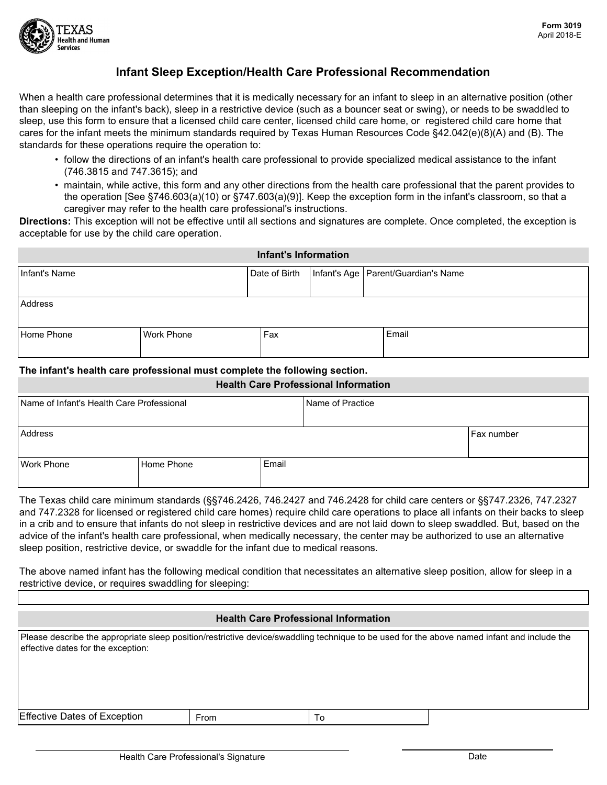

# Infant Sleep Exception/Health Care Professional Recommendation

When a health care professional determines that it is medically necessary for an infant to sleep in an alternative position (other than sleeping on the infant's back), sleep in a restrictive device (such as a bouncer seat or swing), or needs to be swaddled to sleep, use this form to ensure that a licensed child care center, licensed child care home, or registered child care home that cares for the infant meets the minimum standards required by Texas Human Resources Code §42.042(e)(8)(A) and (B). The standards for these operations require the operation to:

- follow the directions of an infant's health care professional to provide specialized medical assistance to the infant (746.3815 and 747.3615); and
- maintain, while active, this form and any other directions from the health care professional that the parent provides to the operation [See §746.603(a)(10) or §747.603(a)(9)]. Keep the exception form in the infant's classroom, so that a caregiver may refer to the health care professional's instructions.

Directions: This exception will not be effective until all sections and signatures are complete. Once completed, the exception is acceptable for use by the child care operation.

| <b>Infant's Information</b> |                   |     |  |                                                       |  |
|-----------------------------|-------------------|-----|--|-------------------------------------------------------|--|
| Infant's Name               |                   |     |  | Date of Birth   Infant's Age   Parent/Guardian's Name |  |
| Address                     |                   |     |  |                                                       |  |
| Home Phone                  | <b>Work Phone</b> | Fax |  | Email                                                 |  |

## The infant's health care professional must complete the following section.

#### Health Care Professional Information

| Name of Infant's Health Care Professional |                   | Name of Practice |  |              |
|-------------------------------------------|-------------------|------------------|--|--------------|
| Address                                   |                   |                  |  | l Fax number |
| <b>Work Phone</b>                         | <b>Home Phone</b> | Email            |  |              |

The Texas child care minimum standards (§§746.2426, 746.2427 and 746.2428 for child care centers or §§747.2326, 747.2327 and 747.2328 for licensed or registered child care homes) require child care operations to place all infants on their backs to sleep in a crib and to ensure that infants do not sleep in restrictive devices and are not laid down to sleep swaddled. But, based on the advice of the infant's health care professional, when medically necessary, the center may be authorized to use an alternative sleep position, restrictive device, or swaddle for the infant due to medical reasons.

The above named infant has the following medical condition that necessitates an alternative sleep position, allow for sleep in a restrictive device, or requires swaddling for sleeping:

### Health Care Professional Information

| effective dates for the exception:  |      | Please describe the appropriate sleep position/restrictive device/swaddling technique to be used for the above named infant and include the |  |
|-------------------------------------|------|---------------------------------------------------------------------------------------------------------------------------------------------|--|
|                                     |      |                                                                                                                                             |  |
|                                     |      |                                                                                                                                             |  |
| <b>Effective Dates of Exception</b> | From |                                                                                                                                             |  |